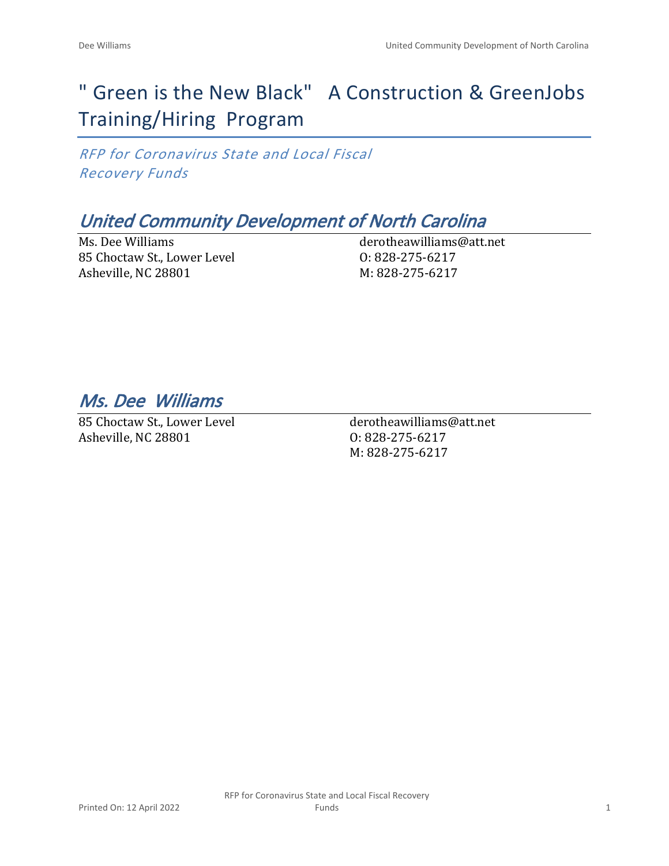# " Green is the New Black" A Construction & GreenJobs Training/Hiring Program

*RFP for Coronavirus State and Local Fiscal Recovery Funds*

# *United Community Development of North Carolina*

Ms. Dee Williams 85 Choctaw St., Lower Level Asheville, NC 28801

derotheawilliams@att.net O: 828-275-6217 M: 828-275-6217

*Ms. Dee Williams* 

85 Choctaw St., Lower Level Asheville, NC 28801

derotheawilliams@att.net O: 828-275-6217 M: 828-275-6217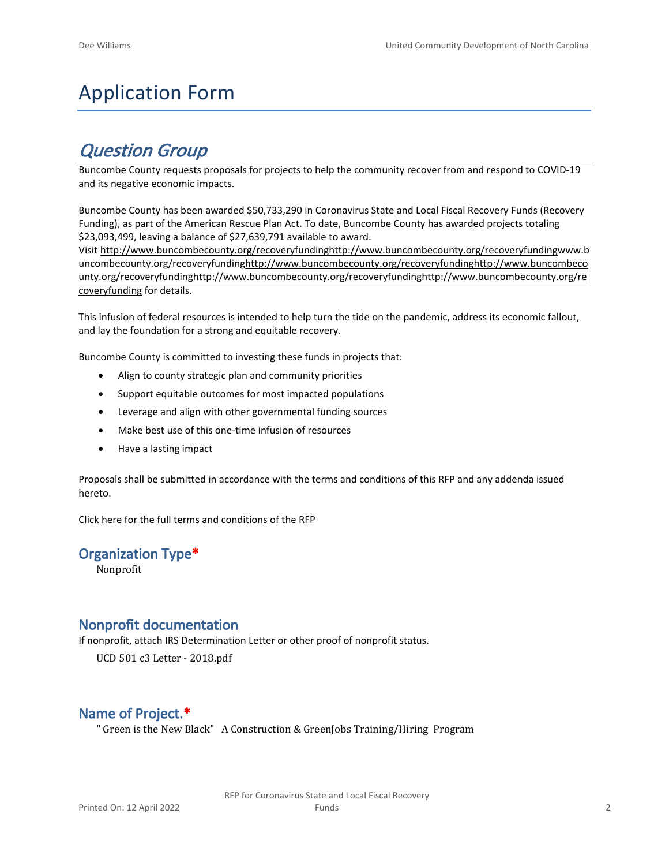# Application Form

# *Question Group*

Buncombe County requests proposals for projects to help the community recover from and respond to COVID-19 and its negative economic impacts.

Buncombe County has been awarded \$50,733,290 in Coronavirus State and Local Fiscal Recovery Funds (Recovery Funding), as part of the American Rescue Plan Act. To date, Buncombe County has awarded projects totaling \$23,093,499, leaving a balance of \$27,639,791 available to award.

Visit [http://www.buncombecounty.org/recoveryfundinghttp://www.buncombecounty.org/recoveryfundingwww.b](http://www.buncombecounty.org/recoveryfunding) [uncombecounty.org/recoveryfundinghttp://www.buncombecounty.org/recoveryfundinghttp://www.buncombeco](http://www.buncombecounty.org/recoveryfunding) [unty.org/recoveryfundinghttp://www.buncombecounty.org/recoveryfundinghttp://www.buncombecounty.org/re](http://www.buncombecounty.org/recoveryfunding) [coveryfunding](http://www.buncombecounty.org/recoveryfunding) for details.

This infusion of federal resources is intended to help turn the tide on the pandemic, address its economic fallout, and lay the foundation for a strong and equitable recovery.

Buncombe County is committed to investing these funds in projects that:

- Align to county strategic plan and community priorities
- Support equitable outcomes for most impacted populations
- Leverage and align with other governmental funding sources
- Make best use of this one-time infusion of resources
- Have a lasting impact

Proposals shall be submitted in accordance with the terms and conditions of this RFP and any addenda issued hereto.

Click [here](https://www.buncombecounty.org/common/purchasing/Buncombe%20Recovery%20Funding%20RFP%202022.pdf) for the full terms and conditions of the RFP

#### **Organization Type\***

Nonprofit

#### **Nonprofit documentation**

If nonprofit, attach IRS Determination Letter or other proof of nonprofit status.

UCD 501 c3 Letter - 2018.pdf

### **Name of Project.\***

" Green is the New Black" A Construction & GreenJobs Training/Hiring Program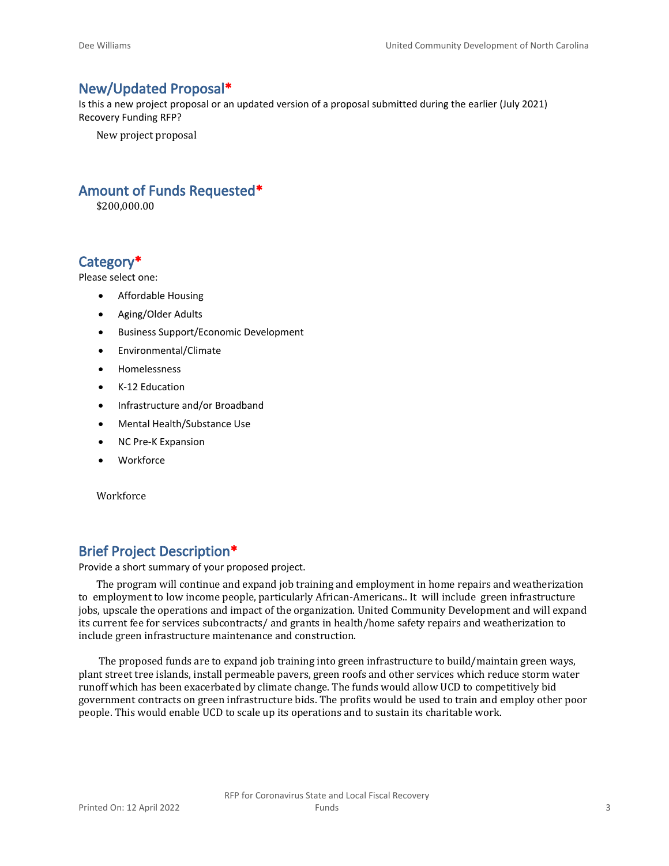#### **New/Updated Proposal\***

Is this a new project proposal or an updated version of a proposal submitted during the earlier (July 2021) Recovery Funding RFP?

New project proposal

#### **Amount of Funds Requested\***

\$200,000.00

### **Category\***

Please select one:

- Affordable Housing
- Aging/Older Adults
- Business Support/Economic Development
- Environmental/Climate
- Homelessness
- K-12 Education
- Infrastructure and/or Broadband
- Mental Health/Substance Use
- NC Pre-K Expansion
- Workforce

Workforce

### **Brief Project Description\***

Provide a short summary of your proposed project.

The program will continue and expand job training and employment in home repairs and weatherization to employment to low income people, particularly African-Americans.. It will include green infrastructure jobs, upscale the operations and impact of the organization. United Community Development and will expand its current fee for services subcontracts/ and grants in health/home safety repairs and weatherization to include green infrastructure maintenance and construction.

 The proposed funds are to expand job training into green infrastructure to build/maintain green ways, plant street tree islands, install permeable pavers, green roofs and other services which reduce storm water runoff which has been exacerbated by climate change. The funds would allow UCD to competitively bid government contracts on green infrastructure bids. The profits would be used to train and employ other poor people. This would enable UCD to scale up its operations and to sustain its charitable work.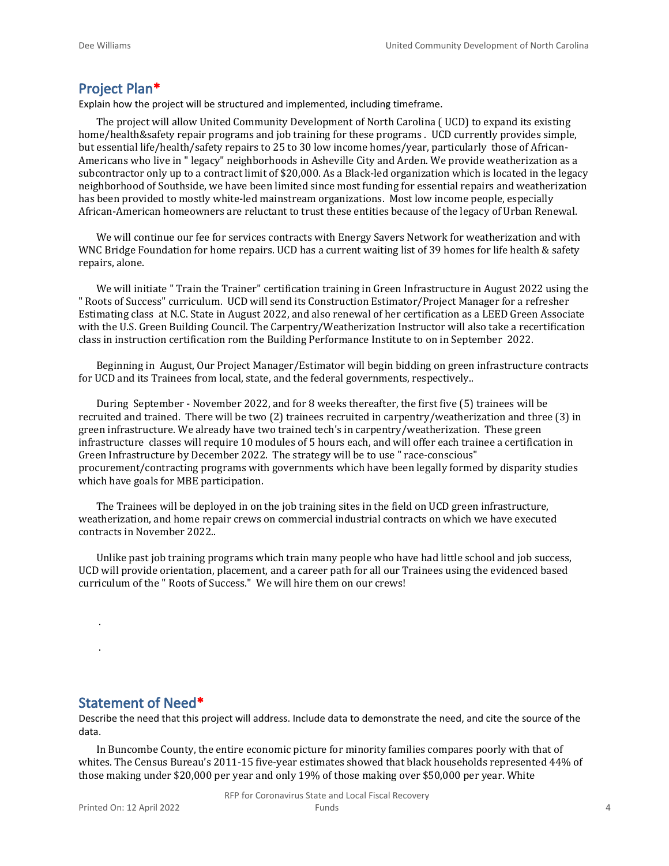#### **Project Plan\***

Explain how the project will be structured and implemented, including timeframe.

The project will allow United Community Development of North Carolina ( UCD) to expand its existing home/health&safety repair programs and job training for these programs . UCD currently provides simple, but essential life/health/safety repairs to 25 to 30 low income homes/year, particularly those of African-Americans who live in " legacy" neighborhoods in Asheville City and Arden. We provide weatherization as a subcontractor only up to a contract limit of \$20,000. As a Black-led organization which is located in the legacy neighborhood of Southside, we have been limited since most funding for essential repairs and weatherization has been provided to mostly white-led mainstream organizations. Most low income people, especially African-American homeowners are reluctant to trust these entities because of the legacy of Urban Renewal.

We will continue our fee for services contracts with Energy Savers Network for weatherization and with WNC Bridge Foundation for home repairs. UCD has a current waiting list of 39 homes for life health & safety repairs, alone.

We will initiate " Train the Trainer" certification training in Green Infrastructure in August 2022 using the " Roots of Success" curriculum. UCD will send its Construction Estimator/Project Manager for a refresher Estimating class at N.C. State in August 2022, and also renewal of her certification as a LEED Green Associate with the U.S. Green Building Council. The Carpentry/Weatherization Instructor will also take a recertification class in instruction certification rom the Building Performance Institute to on in September 2022.

Beginning in August, Our Project Manager/Estimator will begin bidding on green infrastructure contracts for UCD and its Trainees from local, state, and the federal governments, respectively..

During September - November 2022, and for 8 weeks thereafter, the first five (5) trainees will be recruited and trained. There will be two (2) trainees recruited in carpentry/weatherization and three (3) in green infrastructure. We already have two trained tech's in carpentry/weatherization. These green infrastructure classes will require 10 modules of 5 hours each, and will offer each trainee a certification in Green Infrastructure by December 2022. The strategy will be to use " race-conscious" procurement/contracting programs with governments which have been legally formed by disparity studies which have goals for MBE participation.

The Trainees will be deployed in on the job training sites in the field on UCD green infrastructure, weatherization, and home repair crews on commercial industrial contracts on which we have executed contracts in November 2022..

Unlike past job training programs which train many people who have had little school and job success, UCD will provide orientation, placement, and a career path for all our Trainees using the evidenced based curriculum of the " Roots of Success." We will hire them on our crews!

#### **Statement of Need\***

.

.

Describe the need that this project will address. Include data to demonstrate the need, and cite the source of the data.

In Buncombe County, the entire economic picture for minority families compares poorly with that of whites. The Census Bureau's 2011-15 five-year estimates showed that black households represented 44% of those making under \$20,000 per year and only 19% of those making over \$50,000 per year. White

RFP for Coronavirus State and Local Fiscal Recovery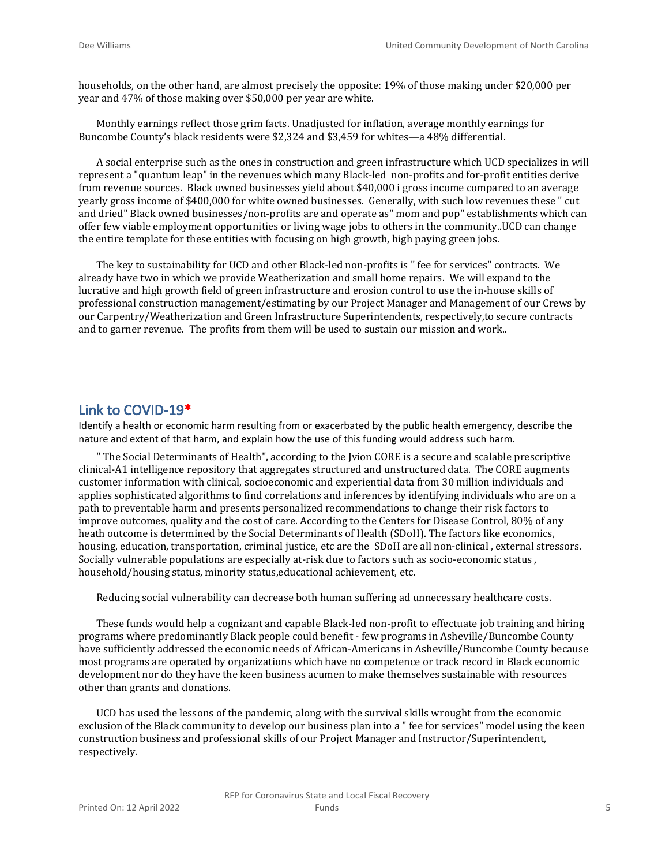households, on the other hand, are almost precisely the opposite: 19% of those making under \$20,000 per year and 47% of those making over \$50,000 per year are white.

Monthly earnings reflect those grim facts. Unadjusted for inflation, average monthly earnings for Buncombe County's black residents were \$2,324 and \$3,459 for whites—a 48% differential.

A social enterprise such as the ones in construction and green infrastructure which UCD specializes in will represent a "quantum leap" in the revenues which many Black-led non-profits and for-profit entities derive from revenue sources. Black owned businesses yield about \$40,000 i gross income compared to an average yearly gross income of \$400,000 for white owned businesses. Generally, with such low revenues these " cut and dried" Black owned businesses/non-profits are and operate as" mom and pop" establishments which can offer few viable employment opportunities or living wage jobs to others in the community..UCD can change the entire template for these entities with focusing on high growth, high paying green jobs.

The key to sustainability for UCD and other Black-led non-profits is " fee for services" contracts. We already have two in which we provide Weatherization and small home repairs. We will expand to the lucrative and high growth field of green infrastructure and erosion control to use the in-house skills of professional construction management/estimating by our Project Manager and Management of our Crews by our Carpentry/Weatherization and Green Infrastructure Superintendents, respectively,to secure contracts and to garner revenue. The profits from them will be used to sustain our mission and work..

#### **Link to COVID-19\***

Identify a health or economic harm resulting from or exacerbated by the public health emergency, describe the nature and extent of that harm, and explain how the use of this funding would address such harm.

" The Social Determinants of Health", according to the Jvion CORE is a secure and scalable prescriptive clinical-A1 intelligence repository that aggregates structured and unstructured data. The CORE augments customer information with clinical, socioeconomic and experiential data from 30 million individuals and applies sophisticated algorithms to find correlations and inferences by identifying individuals who are on a path to preventable harm and presents personalized recommendations to change their risk factors to improve outcomes, quality and the cost of care. According to the Centers for Disease Control, 80% of any heath outcome is determined by the Social Determinants of Health (SDoH). The factors like economics, housing, education, transportation, criminal justice, etc are the SDoH are all non-clinical , external stressors. Socially vulnerable populations are especially at-risk due to factors such as socio-economic status , household/housing status, minority status,educational achievement, etc.

Reducing social vulnerability can decrease both human suffering ad unnecessary healthcare costs.

These funds would help a cognizant and capable Black-led non-profit to effectuate job training and hiring programs where predominantly Black people could benefit - few programs in Asheville/Buncombe County have sufficiently addressed the economic needs of African-Americans in Asheville/Buncombe County because most programs are operated by organizations which have no competence or track record in Black economic development nor do they have the keen business acumen to make themselves sustainable with resources other than grants and donations.

UCD has used the lessons of the pandemic, along with the survival skills wrought from the economic exclusion of the Black community to develop our business plan into a " fee for services" model using the keen construction business and professional skills of our Project Manager and Instructor/Superintendent, respectively.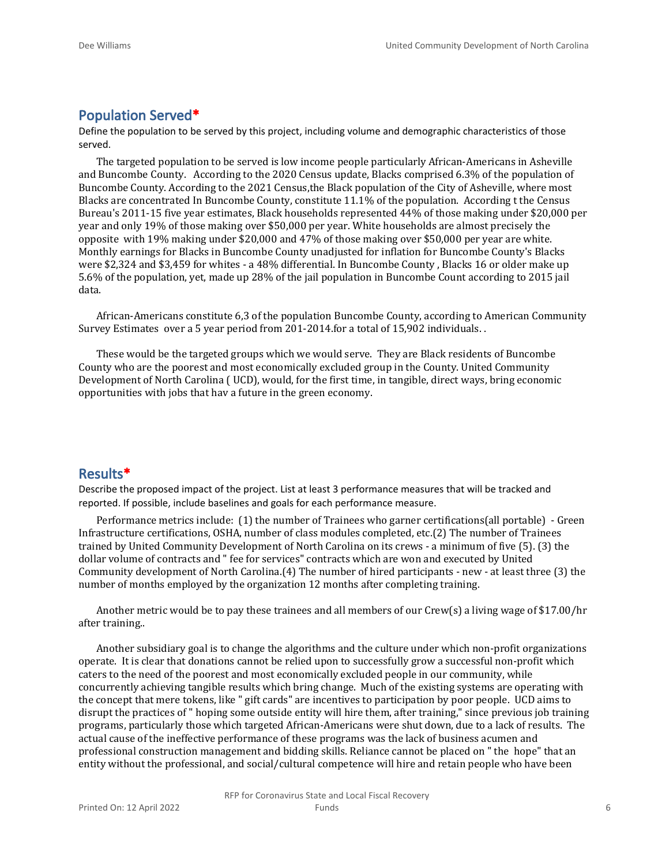#### **Population Served\***

Define the population to be served by this project, including volume and demographic characteristics of those served.

The targeted population to be served is low income people particularly African-Americans in Asheville and Buncombe County. According to the 2020 Census update, Blacks comprised 6.3% of the population of Buncombe County. According to the 2021 Census,the Black population of the City of Asheville, where most Blacks are concentrated In Buncombe County, constitute 11.1% of the population. According t the Census Bureau's 2011-15 five year estimates, Black households represented 44% of those making under \$20,000 per year and only 19% of those making over \$50,000 per year. White households are almost precisely the opposite with 19% making under \$20,000 and 47% of those making over \$50,000 per year are white. Monthly earnings for Blacks in Buncombe County unadjusted for inflation for Buncombe County's Blacks were \$2,324 and \$3,459 for whites - a 48% differential. In Buncombe County , Blacks 16 or older make up 5.6% of the population, yet, made up 28% of the jail population in Buncombe Count according to 2015 jail data.

African-Americans constitute 6,3 of the population Buncombe County, according to American Community Survey Estimates over a 5 year period from 201-2014.for a total of 15,902 individuals. .

These would be the targeted groups which we would serve. They are Black residents of Buncombe County who are the poorest and most economically excluded group in the County. United Community Development of North Carolina ( UCD), would, for the first time, in tangible, direct ways, bring economic opportunities with jobs that hav a future in the green economy.

#### **Results\***

Describe the proposed impact of the project. List at least 3 performance measures that will be tracked and reported. If possible, include baselines and goals for each performance measure.

Performance metrics include: (1) the number of Trainees who garner certifications(all portable) - Green Infrastructure certifications, OSHA, number of class modules completed, etc.(2) The number of Trainees trained by United Community Development of North Carolina on its crews - a minimum of five (5). (3) the dollar volume of contracts and " fee for services" contracts which are won and executed by United Community development of North Carolina.(4) The number of hired participants - new - at least three (3) the number of months employed by the organization 12 months after completing training.

Another metric would be to pay these trainees and all members of our Crew(s) a living wage of \$17.00/hr after training..

Another subsidiary goal is to change the algorithms and the culture under which non-profit organizations operate. It is clear that donations cannot be relied upon to successfully grow a successful non-profit which caters to the need of the poorest and most economically excluded people in our community, while concurrently achieving tangible results which bring change. Much of the existing systems are operating with the concept that mere tokens, like " gift cards" are incentives to participation by poor people. UCD aims to disrupt the practices of " hoping some outside entity will hire them, after training," since previous job training programs, particularly those which targeted African-Americans were shut down, due to a lack of results. The actual cause of the ineffective performance of these programs was the lack of business acumen and professional construction management and bidding skills. Reliance cannot be placed on " the hope" that an entity without the professional, and social/cultural competence will hire and retain people who have been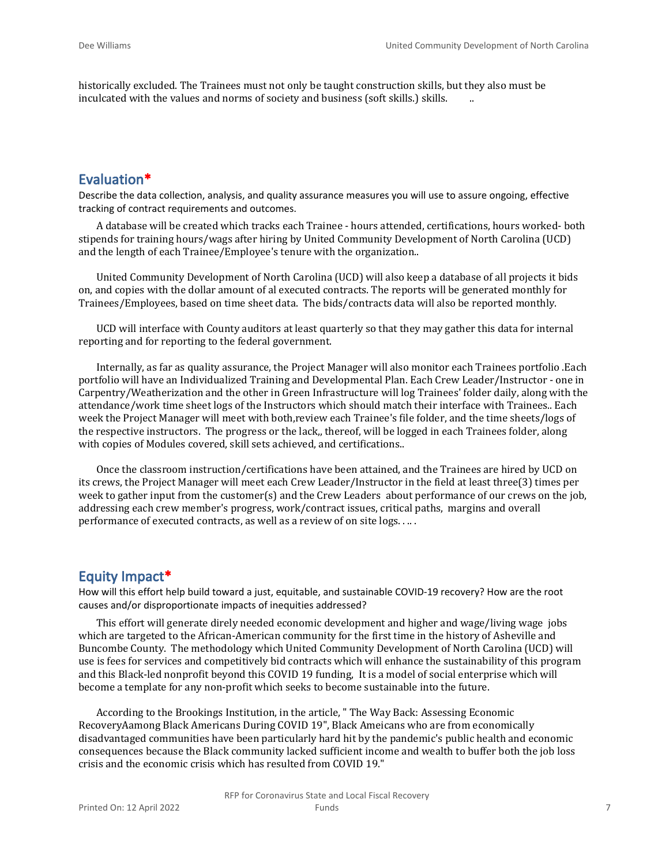historically excluded. The Trainees must not only be taught construction skills, but they also must be inculcated with the values and norms of society and business (soft skills.) skills.

#### **Evaluation\***

Describe the data collection, analysis, and quality assurance measures you will use to assure ongoing, effective tracking of contract requirements and outcomes.

A database will be created which tracks each Trainee - hours attended, certifications, hours worked- both stipends for training hours/wags after hiring by United Community Development of North Carolina (UCD) and the length of each Trainee/Employee's tenure with the organization..

United Community Development of North Carolina (UCD) will also keep a database of all projects it bids on, and copies with the dollar amount of al executed contracts. The reports will be generated monthly for Trainees/Employees, based on time sheet data. The bids/contracts data will also be reported monthly.

UCD will interface with County auditors at least quarterly so that they may gather this data for internal reporting and for reporting to the federal government.

Internally, as far as quality assurance, the Project Manager will also monitor each Trainees portfolio .Each portfolio will have an Individualized Training and Developmental Plan. Each Crew Leader/Instructor - one in Carpentry/Weatherization and the other in Green Infrastructure will log Trainees' folder daily, along with the attendance/work time sheet logs of the Instructors which should match their interface with Trainees.. Each week the Project Manager will meet with both,review each Trainee's file folder, and the time sheets/logs of the respective instructors. The progress or the lack,, thereof, will be logged in each Trainees folder, along with copies of Modules covered, skill sets achieved, and certifications..

Once the classroom instruction/certifications have been attained, and the Trainees are hired by UCD on its crews, the Project Manager will meet each Crew Leader/Instructor in the field at least three(3) times per week to gather input from the customer(s) and the Crew Leaders about performance of our crews on the job, addressing each crew member's progress, work/contract issues, critical paths, margins and overall performance of executed contracts, as well as a review of on site logs. . .. .

#### **Equity Impact\***

How will this effort help build toward a just, equitable, and sustainable COVID-19 recovery? How are the root causes and/or disproportionate impacts of inequities addressed?

This effort will generate direly needed economic development and higher and wage/living wage jobs which are targeted to the African-American community for the first time in the history of Asheville and Buncombe County. The methodology which United Community Development of North Carolina (UCD) will use is fees for services and competitively bid contracts which will enhance the sustainability of this program and this Black-led nonprofit beyond this COVID 19 funding, It is a model of social enterprise which will become a template for any non-profit which seeks to become sustainable into the future.

According to the Brookings Institution, in the article, " The Way Back: Assessing Economic RecoveryAamong Black Americans During COVID 19", Black Ameicans who are from economically disadvantaged communities have been particularly hard hit by the pandemic's public health and economic consequences because the Black community lacked sufficient income and wealth to buffer both the job loss crisis and the economic crisis which has resulted from COVID 19."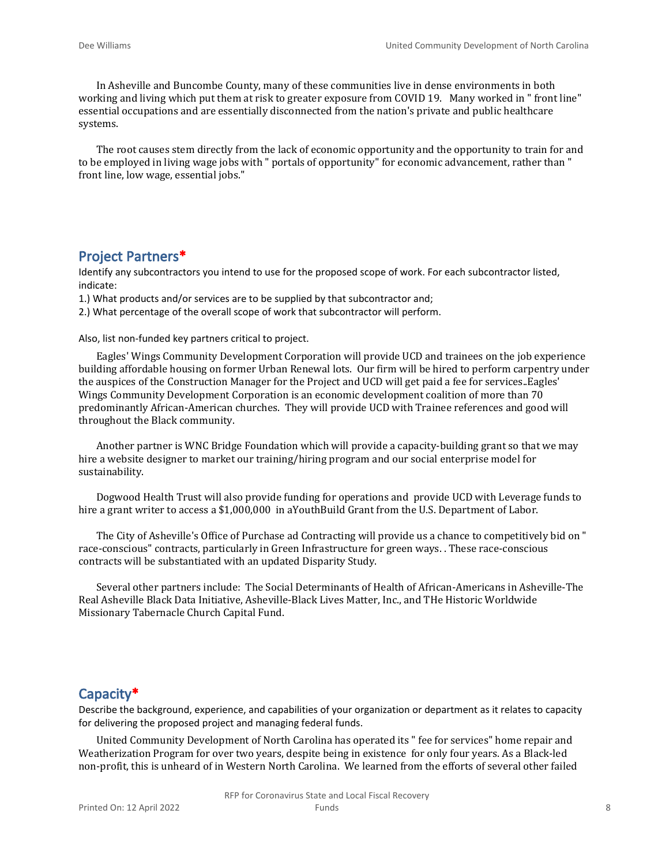In Asheville and Buncombe County, many of these communities live in dense environments in both working and living which put them at risk to greater exposure from COVID 19. Many worked in " front line" essential occupations and are essentially disconnected from the nation's private and public healthcare systems.

The root causes stem directly from the lack of economic opportunity and the opportunity to train for and to be employed in living wage jobs with " portals of opportunity" for economic advancement, rather than " front line, low wage, essential jobs."

#### **Project Partners\***

Identify any subcontractors you intend to use for the proposed scope of work. For each subcontractor listed, indicate:

1.) What products and/or services are to be supplied by that subcontractor and;

2.) What percentage of the overall scope of work that subcontractor will perform.

Also, list non-funded key partners critical to project.

Eagles' Wings Community Development Corporation will provide UCD and trainees on the job experience building affordable housing on former Urban Renewal lots. Our firm will be hired to perform carpentry under the auspices of the Construction Manager for the Project and UCD will get paid a fee for services..Eagles' Wings Community Development Corporation is an economic development coalition of more than 70 predominantly African-American churches. They will provide UCD with Trainee references and good will throughout the Black community.

Another partner is WNC Bridge Foundation which will provide a capacity-building grant so that we may hire a website designer to market our training/hiring program and our social enterprise model for sustainability.

Dogwood Health Trust will also provide funding for operations and provide UCD with Leverage funds to hire a grant writer to access a \$1,000,000 in aYouthBuild Grant from the U.S. Department of Labor.

The City of Asheville's Office of Purchase ad Contracting will provide us a chance to competitively bid on " race-conscious" contracts, particularly in Green Infrastructure for green ways. . These race-conscious contracts will be substantiated with an updated Disparity Study.

Several other partners include: The Social Determinants of Health of African-Americans in Asheville-The Real Asheville Black Data Initiative, Asheville-Black Lives Matter, Inc., and THe Historic Worldwide Missionary Tabernacle Church Capital Fund.

#### **Capacity\***

Describe the background, experience, and capabilities of your organization or department as it relates to capacity for delivering the proposed project and managing federal funds.

United Community Development of North Carolina has operated its " fee for services" home repair and Weatherization Program for over two years, despite being in existence for only four years. As a Black-led non-profit, this is unheard of in Western North Carolina. We learned from the efforts of several other failed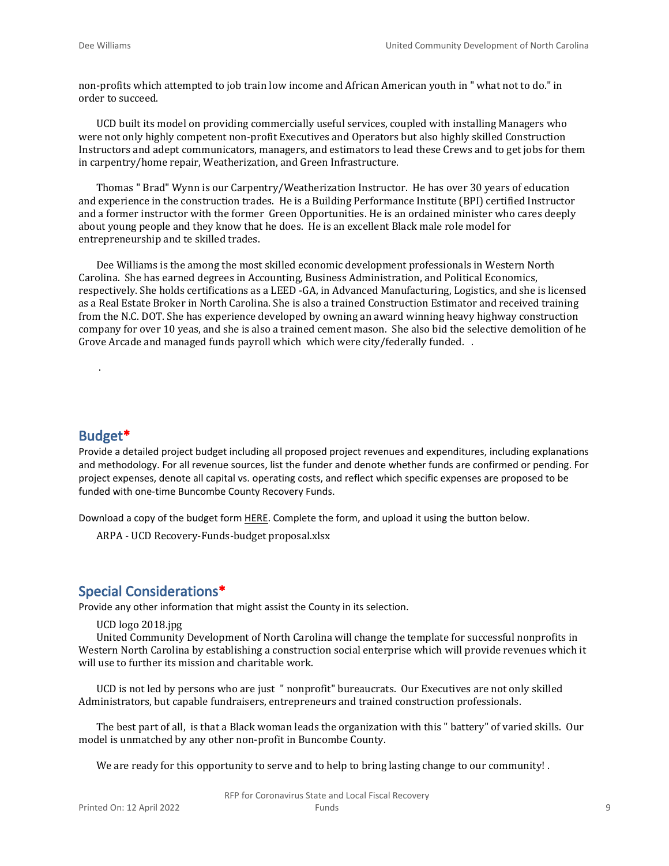non-profits which attempted to job train low income and African American youth in " what not to do." in order to succeed.

UCD built its model on providing commercially useful services, coupled with installing Managers who were not only highly competent non-profit Executives and Operators but also highly skilled Construction Instructors and adept communicators, managers, and estimators to lead these Crews and to get jobs for them in carpentry/home repair, Weatherization, and Green Infrastructure.

Thomas " Brad" Wynn is our Carpentry/Weatherization Instructor. He has over 30 years of education and experience in the construction trades. He is a Building Performance Institute (BPI) certified Instructor and a former instructor with the former Green Opportunities. He is an ordained minister who cares deeply about young people and they know that he does. He is an excellent Black male role model for entrepreneurship and te skilled trades.

Dee Williams is the among the most skilled economic development professionals in Western North Carolina. She has earned degrees in Accounting, Business Administration, and Political Economics, respectively. She holds certifications as a LEED -GA, in Advanced Manufacturing, Logistics, and she is licensed as a Real Estate Broker in North Carolina. She is also a trained Construction Estimator and received training from the N.C. DOT. She has experience developed by owning an award winning heavy highway construction company for over 10 yeas, and she is also a trained cement mason. She also bid the selective demolition of he Grove Arcade and managed funds payroll which which were city/federally funded. .

#### **Budget\***

.

Provide a detailed project budget including all proposed project revenues and expenditures, including explanations and methodology. For all revenue sources, list the funder and denote whether funds are confirmed or pending. For project expenses, denote all capital vs. operating costs, and reflect which specific expenses are proposed to be funded with one-time Buncombe County Recovery Funds.

Download a copy of the budget form [HERE](https://buncombecounty.org/common/community-investment/grants/early-childhood-education/Recovery-Funds-budget-template.xlsx). Complete the form, and upload it using the button below.

ARPA - UCD Recovery-Funds-budget proposal.xlsx

#### **Special Considerations\***

Provide any other information that might assist the County in its selection.

UCD logo 2018.jpg

United Community Development of North Carolina will change the template for successful nonprofits in Western North Carolina by establishing a construction social enterprise which will provide revenues which it will use to further its mission and charitable work.

UCD is not led by persons who are just " nonprofit" bureaucrats. Our Executives are not only skilled Administrators, but capable fundraisers, entrepreneurs and trained construction professionals.

The best part of all, is that a Black woman leads the organization with this " battery" of varied skills. Our model is unmatched by any other non-profit in Buncombe County.

We are ready for this opportunity to serve and to help to bring lasting change to our community!.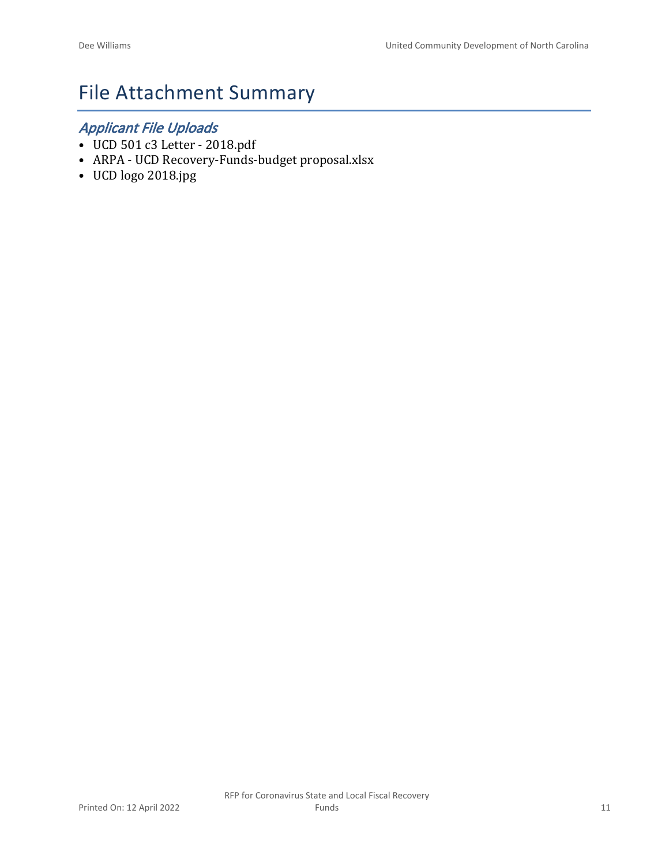# File Attachment Summary

## *Applicant File Uploads*

- UCD 501 c3 Letter 2018.pdf
- ARPA UCD Recovery-Funds-budget proposal.xlsx
- UCD logo 2018.jpg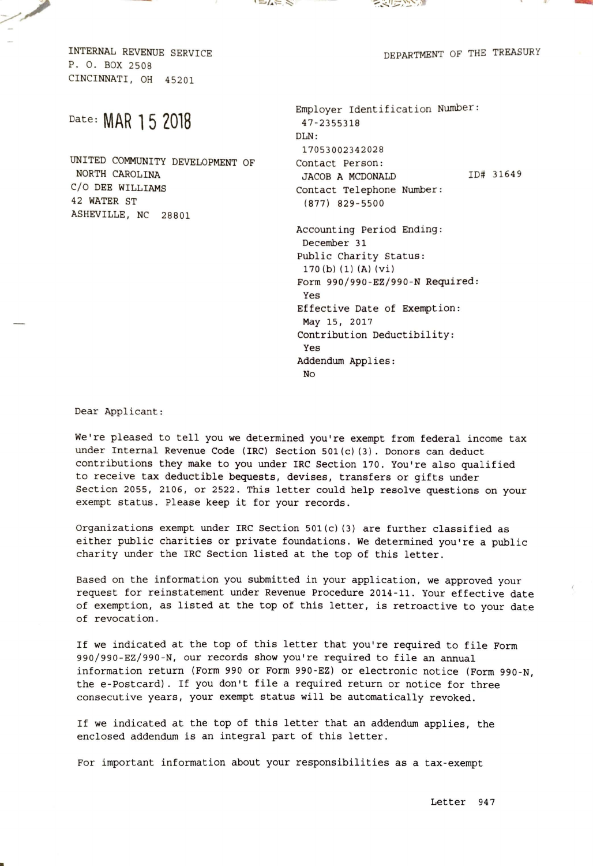



DEPARTMENT OF THE TREASURY

-

I NTERNAL REVENUE SERVICE P. 0. BOX 2508 CINCINNATI, OH 45201

**Sunday of Beach** 

## Date: **MAR 1 5 2018**

UNITED COMMUNITY DEVELOPMENT OF NORTH CAROLINA C/O DEE WILLIAMS 42 WATER ST ASHEVILLE, NC 28801

Employer Identification Number: 47 - 23553 18  $DI.N.$ 170530023 42028 Contact Person: JACOB A MCDONALD Contact Telephone Number: (877) 829-5 50 0 Accounting Period Ending: December 31 Public Charity Status:  $170(b) (1) (A) (vi)$ ID# 31649 Form 990 / 990 -EZ/990 -N Required: Yes Effective Date of Exemption : May 15, 2017 Contribution Deductibility: Yes Addendum Applies : No

Dear Applicant:

We're pleased to tell you we determined you're exempt from federal income tax under Internal Revenue Code (IRC) Section 501(c)(3). Donors can deduct contributions they make to you under IRC Section 170. You're also qualified to receive tax deductible bequests, devises, transfers or gifts under Section 2055, 2106, or 2522. This letter could help resolve questions on your exempt status. Please keep it for your records.

Organizations exempt under IRC Section  $501(c)$  (3) are further classified as either public charities or private foundations. We determined you're a public charity under the IRC Section listed at the top of this letter.

Based on the information you submitted in your application, we approved your request for reinstatement under Revenue Procedure 2014-11. Your effective date of exemption, as listed at the top of this letter, is retroactive to your date of revocation.

If we indicated at the top of this letter that you're required to file Form 990 / 990-EZ/990 -N, our records show you're required to file an annual information return (Form 990 or Form 990-EZ} or electronic notice {Form 990-N, the e-Postcard). If you don't file a required return or notice for three consecutive years, your exempt status will be automatically revoked.

If we indicated at the top of this letter that an addendum applies, the enclosed addendum is an integral part of this letter.

For important information about your responsibilities as a tax-exempt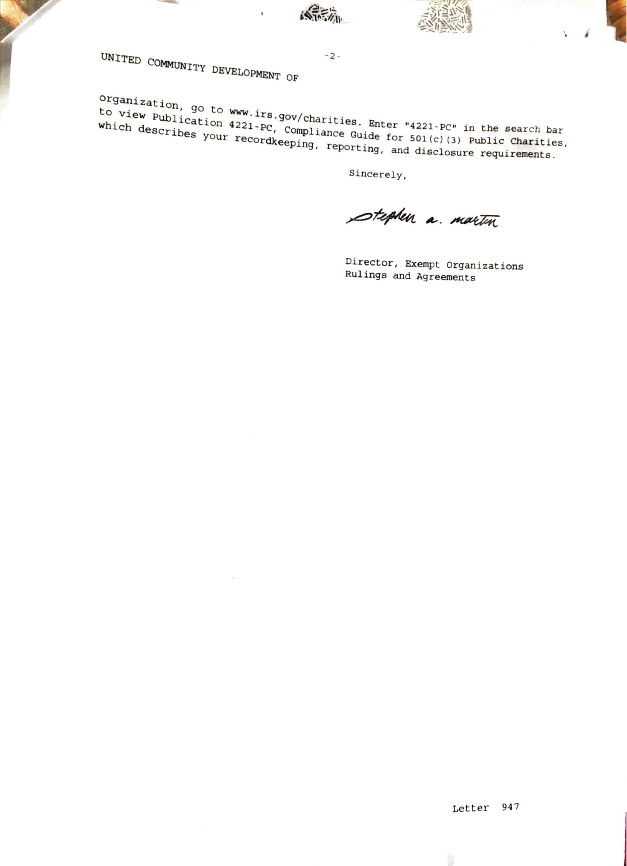

*I* '

Y.

UNITED COMMUNITY DEVELOPMENT OF

 $\overline{\mathbf{t}}$ 

**organization, go to WWW.irs.gov/charities. Enter "4221-PC" in the search bar which describes your recordkeeping, reporting, and disclosure requirements.** which describes your **publication** 4221-PC, Compliance Guide for **SOL(c)** in the search bar **which is a vour recordkeeping, reporting, and disclosure reporting** 

 $-2 -$ 

Sincerely,

stephen a martin

Director, Exempt organizations Rulings and Agreements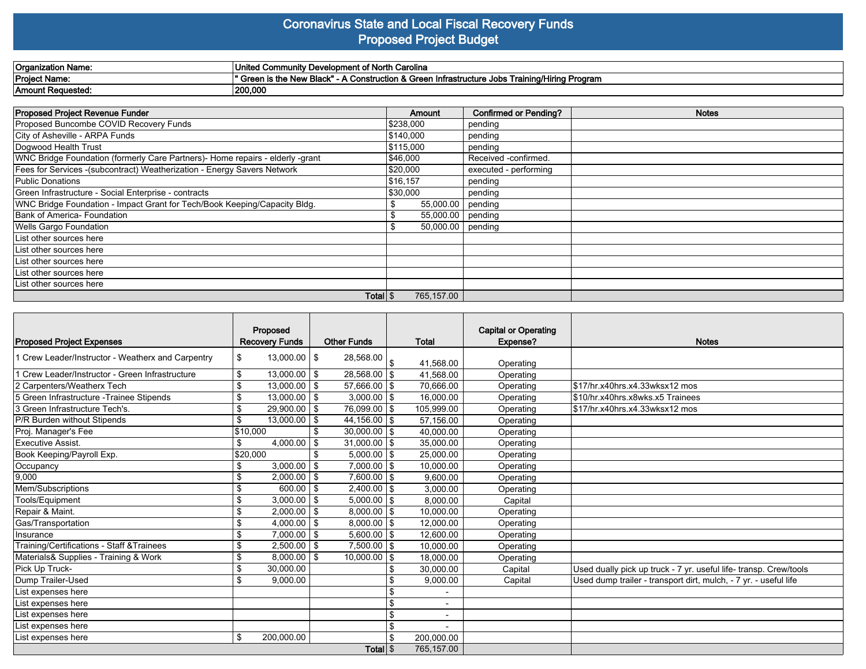#### **Coronavirus State and Local Fiscal Recovery Funds Proposed Project Budget**

| <b>Organization Name:</b> | --<br>of North Carolina<br>l Community Development of<br>`Uni⊾                                                       |
|---------------------------|----------------------------------------------------------------------------------------------------------------------|
| <b>Project Name:</b>      | Training/Hiring Program<br>\ Construction & Green<br>' Green is the New Black" -<br>astructure Jobs<br>Infra.<br>. . |
| 'Amount Requested.        | 200,000                                                                                                              |

| <b>Proposed Project Revenue Funder</b>                                        | Amount                  | <b>Confirmed or Pending?</b> | <b>Notes</b> |
|-------------------------------------------------------------------------------|-------------------------|------------------------------|--------------|
| Proposed Buncombe COVID Recovery Funds                                        | \$238,000               | pending                      |              |
| City of Asheville - ARPA Funds                                                | \$140,000               | pending                      |              |
| Dogwood Health Trust                                                          | \$115,000               | pending                      |              |
| WNC Bridge Foundation (formerly Care Partners)- Home repairs - elderly -grant | \$46,000                | Received -confirmed.         |              |
| Fees for Services - (subcontract) Weatherization - Energy Savers Network      | \$20,000                | executed - performing        |              |
| Public Donations                                                              | \$16,157                | pending                      |              |
| Green Infrastructure - Social Enterprise - contracts                          | \$30,000                | pending                      |              |
| WNC Bridge Foundation - Impact Grant for Tech/Book Keeping/Capacity Bldg.     | 55,000.00 pending<br>\$ |                              |              |
| Bank of America- Foundation                                                   | 55,000.00 pending       |                              |              |
| Wells Gargo Foundation                                                        | $50,000.00$   pending   |                              |              |
| List other sources here                                                       |                         |                              |              |
| List other sources here                                                       |                         |                              |              |
| List other sources here                                                       |                         |                              |              |
| List other sources here                                                       |                         |                              |              |
| List other sources here                                                       |                         |                              |              |
| Total \$                                                                      | 765,157.00              |                              |              |

|                                                   | Proposed                                  |            |                            |  |                          | <b>Capital or Operating</b> |                                                                   |
|---------------------------------------------------|-------------------------------------------|------------|----------------------------|--|--------------------------|-----------------------------|-------------------------------------------------------------------|
| <b>Proposed Project Expenses</b>                  | <b>Recovery Funds</b>                     |            | <b>Other Funds</b>         |  | Total                    | Expense?                    | <b>Notes</b>                                                      |
| 1 Crew Leader/Instructor - Weatherx and Carpentry | $13,000.00$   \$<br>\$                    |            | $28,568.00$ $\frac{1}{\$}$ |  |                          |                             |                                                                   |
|                                                   |                                           |            |                            |  | 41,568.00                | Operating                   |                                                                   |
| 1 Crew Leader/Instructor - Green Infrastructure   | \$<br>$13,000.00$   \$                    |            | $28,568.00$ \$             |  | 41,568.00                | Operating                   |                                                                   |
| 2 Carpenters/Weatherx Tech                        | \$<br>$13,000.00$   \$                    |            | 57,666.00 \$               |  | 70,666.00                | Operating                   | 517/hr.x40hrs.x4.33wksx12 mos                                     |
| 5 Green Infrastructure - Trainee Stipends         | \$<br>$13,000.00$   \$                    |            | $3,000.00$ \\$             |  | 16,000.00                | Operating                   | \$10/hr.x40hrs.x8wks.x5 Trainees                                  |
| 3 Green Infrastructure Tech's.                    | \$<br>$29,900.00$   \$                    |            | 76,099.00 \$               |  | 105,999.00               | Operating                   | 517/hr.x40hrs.x4.33wksx12 mos                                     |
| P/R Burden without Stipends                       | $\overline{\mathsf{s}}$<br>$13,000.00$ \$ |            | $44,156.00$ \$             |  | 57,156.00                | Operating                   |                                                                   |
| Proj. Manager's Fee                               | \$10,000                                  | \$         | $30,000.00$ \\$            |  | 40,000.00                | Operating                   |                                                                   |
| Executive Assist.                                 | 4,000.00<br>\$                            | l \$       | $31.000.00$ \\$            |  | 35,000.00                | Operating                   |                                                                   |
| Book Keeping/Payroll Exp.                         | \$20,000                                  | \$         | $5,000.00$ \\$             |  | 25,000.00                | Operating                   |                                                                   |
| Occupancy                                         | $3,000.00$   \$<br>\$                     |            | $7,000.00$ \\$             |  | 10.000.00                | Operating                   |                                                                   |
| 9,000                                             | \$<br>$2.000.00$   \$                     |            | $7.600.00$ S               |  | 9,600.00                 | Operating                   |                                                                   |
| Mem/Subscriptions                                 | \$<br>600.00                              | $\sqrt{3}$ | $2,400.00$ \\$             |  | 3,000.00                 | Operating                   |                                                                   |
| Tools/Equipment                                   | \$<br>$3,000.00$   \$                     |            | $5.000.00$ S               |  | 8.000.00                 | Capital                     |                                                                   |
| Repair & Maint.                                   | \$<br>2,000.00                            | l \$       | $8.000.00$ S               |  | 10,000.00                | Operating                   |                                                                   |
| Gas/Transportation                                | \$<br>4,000.00                            | <b>1\$</b> | $8,000.00$ \\$             |  | 12,000.00                | Operating                   |                                                                   |
| Insurance                                         | \$<br>7,000.00                            | $\sqrt{3}$ | $5,600.00$ \$              |  | 12,600.00                | Operating                   |                                                                   |
| Training/Certifications - Staff & Trainees        | \$<br>$2,500.00$   \$                     |            | 7,500.00   \$              |  | 10.000.00                | Operating                   |                                                                   |
| Materials& Supplies - Training & Work             | \$<br>8,000.00                            | l \$       | $10,000.00$   \$           |  | 18,000.00                | Operating                   |                                                                   |
| Pick Up Truck-                                    | \$<br>30,000.00                           |            |                            |  | 30,000.00                | Capital                     | Used dually pick up truck - 7 yr. useful life- transp. Crew/tools |
| Dump Trailer-Used                                 | \$<br>9,000.00                            |            |                            |  | 9,000.00                 | Capital                     | Used dump trailer - transport dirt, mulch, - 7 yr. - useful life  |
| List expenses here                                |                                           |            |                            |  | $\blacksquare$           |                             |                                                                   |
| List expenses here                                |                                           |            |                            |  | $\overline{\phantom{0}}$ |                             |                                                                   |
| List expenses here                                |                                           |            |                            |  | $\blacksquare$           |                             |                                                                   |
| List expenses here                                |                                           |            |                            |  |                          |                             |                                                                   |
| List expenses here                                | \$<br>200,000.00                          |            |                            |  | 200,000.00               |                             |                                                                   |
| Total S                                           |                                           |            |                            |  | 765,157.00               |                             |                                                                   |